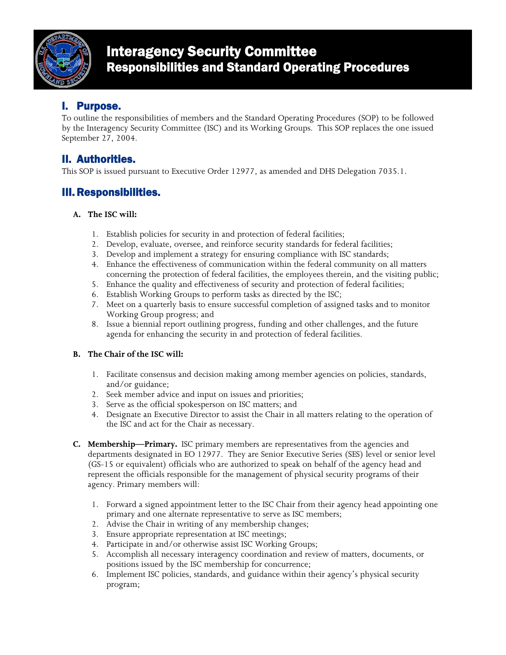

# Interagency Security Committee Responsibilities and Standard Operating Procedures

# I. Purpose.

To outline the responsibilities of members and the Standard Operating Procedures (SOP) to be followed by the Interagency Security Committee (ISC) and its Working Groups. This SOP replaces the one issued September 27, 2004.

## II. Authorities.

This SOP is issued pursuant to Executive Order 12977, as amended and DHS Delegation 7035.1.

### III. Responsibilities.

#### **A. The ISC will:**

- 1. Establish policies for security in and protection of federal facilities;
- 2. Develop, evaluate, oversee, and reinforce security standards for federal facilities;
- 3. Develop and implement a strategy for ensuring compliance with ISC standards;
- 4. Enhance the effectiveness of communication within the federal community on all matters concerning the protection of federal facilities, the employees therein, and the visiting public;
- 5. Enhance the quality and effectiveness of security and protection of federal facilities;
- 6. Establish Working Groups to perform tasks as directed by the ISC;
- 7. Meet on a quarterly basis to ensure successful completion of assigned tasks and to monitor Working Group progress; and
- 8. Issue a biennial report outlining progress, funding and other challenges, and the future agenda for enhancing the security in and protection of federal facilities.

#### **B. The Chair of the ISC will:**

- 1. Facilitate consensus and decision making among member agencies on policies, standards, and/or guidance;
- 2. Seek member advice and input on issues and priorities;
- 3. Serve as the official spokesperson on ISC matters; and
- 4. Designate an Executive Director to assist the Chair in all matters relating to the operation of the ISC and act for the Chair as necessary.
- **C. Membership—Primary.** ISC primary members are representatives from the agencies and departments designated in EO 12977. They are Senior Executive Series (SES) level or senior level (GS-15 or equivalent) officials who are authorized to speak on behalf of the agency head and represent the officials responsible for the management of physical security programs of their agency. Primary members will:
	- 1. Forward a signed appointment letter to the ISC Chair from their agency head appointing one primary and one alternate representative to serve as ISC members;
	- 2. Advise the Chair in writing of any membership changes;
	- 3. Ensure appropriate representation at ISC meetings;
	- 4. Participate in and/or otherwise assist ISC Working Groups;
	- 5. Accomplish all necessary interagency coordination and review of matters, documents, or positions issued by the ISC membership for concurrence;
	- 6. Implement ISC policies, standards, and guidance within their agency's physical security program;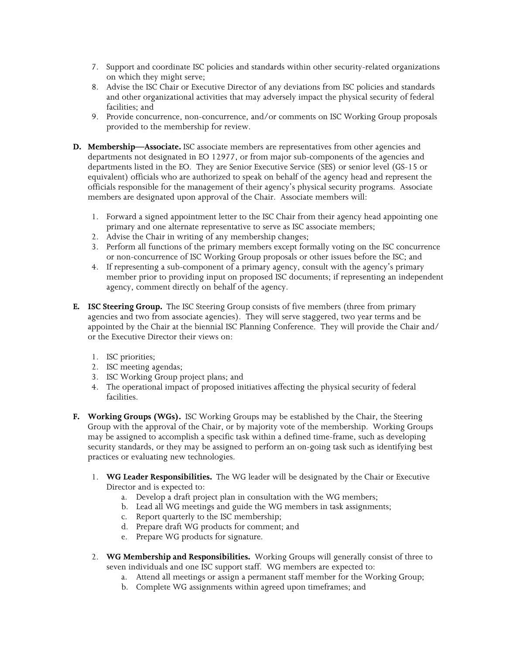- 7. Support and coordinate ISC policies and standards within other security-related organizations on which they might serve;
- 8. Advise the ISC Chair or Executive Director of any deviations from ISC policies and standards and other organizational activities that may adversely impact the physical security of federal facilities; and
- 9. Provide concurrence, non-concurrence, and/or comments on ISC Working Group proposals provided to the membership for review.
- **D. Membership—Associate.** ISC associate members are representatives from other agencies and departments not designated in EO 12977, or from major sub-components of the agencies and departments listed in the EO. They are Senior Executive Service (SES) or senior level (GS-15 or equivalent) officials who are authorized to speak on behalf of the agency head and represent the officials responsible for the management of their agency's physical security programs. Associate members are designated upon approval of the Chair. Associate members will:
	- 1. Forward a signed appointment letter to the ISC Chair from their agency head appointing one primary and one alternate representative to serve as ISC associate members;
	- 2. Advise the Chair in writing of any membership changes;
	- 3. Perform all functions of the primary members except formally voting on the ISC concurrence or non-concurrence of ISC Working Group proposals or other issues before the ISC; and
	- 4. If representing a sub-component of a primary agency, consult with the agency's primary member prior to providing input on proposed ISC documents; if representing an independent agency, comment directly on behalf of the agency.
- **E. ISC Steering Group.** The ISC Steering Group consists of five members (three from primary agencies and two from associate agencies). They will serve staggered, two year terms and be appointed by the Chair at the biennial ISC Planning Conference. They will provide the Chair and/ or the Executive Director their views on:
	- 1. ISC priorities;
	- 2. ISC meeting agendas;
	- 3. ISC Working Group project plans; and
	- 4. The operational impact of proposed initiatives affecting the physical security of federal facilities.
- **F. Working Groups (WGs).** ISC Working Groups may be established by the Chair, the Steering Group with the approval of the Chair, or by majority vote of the membership. Working Groups may be assigned to accomplish a specific task within a defined time-frame, such as developing security standards, or they may be assigned to perform an on-going task such as identifying best practices or evaluating new technologies.
	- 1. **WG Leader Responsibilities.** The WG leader will be designated by the Chair or Executive Director and is expected to:
		- a. Develop a draft project plan in consultation with the WG members;
		- b. Lead all WG meetings and guide the WG members in task assignments;
		- c. Report quarterly to the ISC membership;
		- d. Prepare draft WG products for comment; and
		- e. Prepare WG products for signature.
	- 2. **WG Membership and Responsibilities.** Working Groups will generally consist of three to seven individuals and one ISC support staff. WG members are expected to:
		- a. Attend all meetings or assign a permanent staff member for the Working Group;
		- b. Complete WG assignments within agreed upon timeframes; and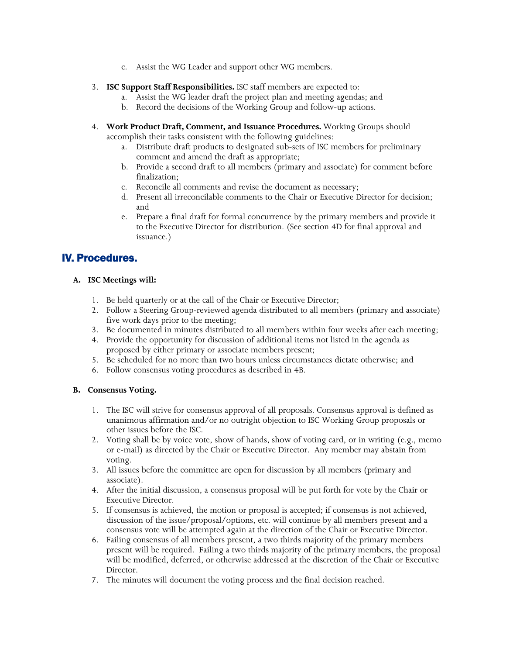- c. Assist the WG Leader and support other WG members.
- 3. **ISC Support Staff Responsibilities.** ISC staff members are expected to:
	- a. Assist the WG leader draft the project plan and meeting agendas; and
	- b. Record the decisions of the Working Group and follow-up actions.
- 4. **Work Product Draft, Comment, and Issuance Procedures.** Working Groups should accomplish their tasks consistent with the following guidelines:
	- a. Distribute draft products to designated sub-sets of ISC members for preliminary comment and amend the draft as appropriate;
	- b. Provide a second draft to all members (primary and associate) for comment before finalization;
	- c. Reconcile all comments and revise the document as necessary;
	- d. Present all irreconcilable comments to the Chair or Executive Director for decision; and
	- e. Prepare a final draft for formal concurrence by the primary members and provide it to the Executive Director for distribution. (See section 4D for final approval and issuance.)

### IV. Procedures.

#### **A. ISC Meetings will:**

- 1. Be held quarterly or at the call of the Chair or Executive Director;
- 2. Follow a Steering Group-reviewed agenda distributed to all members (primary and associate) five work days prior to the meeting;
- 3. Be documented in minutes distributed to all members within four weeks after each meeting;
- 4. Provide the opportunity for discussion of additional items not listed in the agenda as proposed by either primary or associate members present;
- 5. Be scheduled for no more than two hours unless circumstances dictate otherwise; and
- 6. Follow consensus voting procedures as described in 4B.

#### **B. Consensus Voting.**

- 1. The ISC will strive for consensus approval of all proposals. Consensus approval is defined as unanimous affirmation and/or no outright objection to ISC Working Group proposals or other issues before the ISC.
- 2. Voting shall be by voice vote, show of hands, show of voting card, or in writing (e.g., memo or e-mail) as directed by the Chair or Executive Director. Any member may abstain from voting.
- 3. All issues before the committee are open for discussion by all members (primary and associate).
- 4. After the initial discussion, a consensus proposal will be put forth for vote by the Chair or Executive Director.
- 5. If consensus is achieved, the motion or proposal is accepted; if consensus is not achieved, discussion of the issue/proposal/options, etc. will continue by all members present and a consensus vote will be attempted again at the direction of the Chair or Executive Director.
- 6. Failing consensus of all members present, a two thirds majority of the primary members present will be required. Failing a two thirds majority of the primary members, the proposal will be modified, deferred, or otherwise addressed at the discretion of the Chair or Executive Director.
- 7. The minutes will document the voting process and the final decision reached.